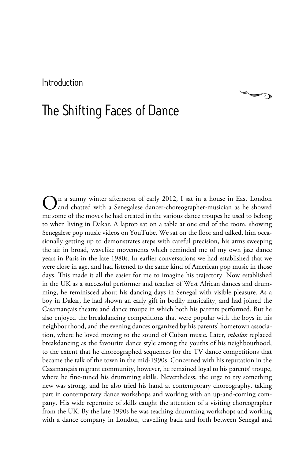# Introduction

# The Shifting Faces of Dance

 $\sum$ n a sunny winter afternoon of early 2012, I sat in a house in East London and chatted with a Senegalese dancer-choreographer-musician as he showed me some of the moves he had created in the various dance troupes he used to belong to when living in Dakar. A laptop sat on a table at one end of the room, showing Senegalese pop music videos on YouTube. We sat on the floor and talked, him occasionally getting up to demonstrates steps with careful precision, his arms sweeping the air in broad, wavelike movements which reminded me of my own jazz dance years in Paris in the late 1980s. In earlier conversations we had established that we were close in age, and had listened to the same kind of American pop music in those days. This made it all the easier for me to imagine his trajectory. Now established in the UK as a successful performer and teacher of West African dances and drumming, he reminisced about his dancing days in Senegal with visible pleasure. As a boy in Dakar, he had shown an early gift in bodily musicality, and had joined the Casamançais theatre and dance troupe in which both his parents performed. But he also enjoyed the breakdancing competitions that were popular with the boys in his neighbourhood, and the evening dances organized by his parents' hometown association, where he loved moving to the sound of Cuban music. Later, *mbalax* replaced breakdancing as the favourite dance style among the youths of his neighbourhood, to the extent that he choreographed sequences for the TV dance competitions that became the talk of the town in the mid-1990s. Concerned with his reputation in the Casamançais migrant community, however, he remained loyal to his parents' troupe, where he fine-tuned his drumming skills. Nevertheless, the urge to try something new was strong, and he also tried his hand at contemporary choreography, taking part in contemporary dance workshops and working with an up-and-coming company. His wide repertoire of skills caught the attention of a visiting choreographer from the UK. By the late 1990s he was teaching drumming workshops and working with a dance company in London, travelling back and forth between Senegal and

 $\overline{a}$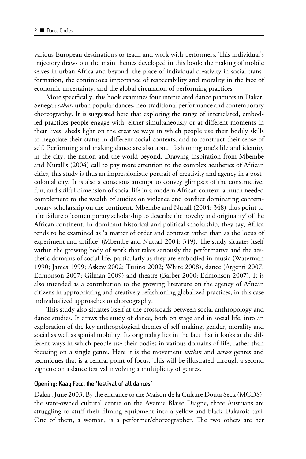various European destinations to teach and work with performers. This individual's trajectory draws out the main themes developed in this book: the making of mobile selves in urban Africa and beyond, the place of individual creativity in social transformation, the continuous importance of respectability and morality in the face of economic uncertainty, and the global circulation of performing practices.

More specifically, this book examines four interrelated dance practices in Dakar, Senegal: *sabar*, urban popular dances, neo-traditional performance and contemporary choreography. It is suggested here that exploring the range of interrelated, embodied practices people engage with, either simultaneously or at different moments in their lives, sheds light on the creative ways in which people use their bodily skills to negotiate their status in different social contexts, and to construct their sense of self. Performing and making dance are also about fashioning one's life and identity in the city, the nation and the world beyond. Drawing inspiration from Mbembe and Nutall's (2004) call to pay more attention to the complex aesthetics of African cities, this study is thus an impressionistic portrait of creativity and agency in a postcolonial city. It is also a conscious attempt to convey glimpses of the constructive, fun, and skilful dimension of social life in a modern African context, a much needed complement to the wealth of studies on violence and conflict dominating contemporary scholarship on the continent. Mbembe and Nutall (2004: 348) thus point to 'the failure of contemporary scholarship to describe the novelty and originality' of the African continent. In dominant historical and political scholarship, they say, Africa tends to be examined as 'a matter of order and contract rather than as the locus of experiment and artifice' (Mbembe and Nuttall 2004: 349). The study situates itself within the growing body of work that takes seriously the performative and the aesthetic domains of social life, particularly as they are embodied in music (Waterman 1990; James 1999; Askew 2002; Turino 2002; White 2008), dance (Argenti 2007; Edmonson 2007; Gilman 2009) and theatre (Barber 2000; Edmonson 2007). It is also intended as a contribution to the growing literature on the agency of African citizens in appropriating and creatively refashioning globalized practices, in this case individualized approaches to choreography.

This study also situates itself at the crossroads between social anthropology and dance studies. It draws the study of dance, both on stage and in social life, into an exploration of the key anthropological themes of self-making, gender, morality and social as well as spatial mobility. Its originality lies in the fact that it looks at the different ways in which people use their bodies in various domains of life, rather than focusing on a single genre. Here it is the movement *within* and *across* genres and techniques that is a central point of focus. This will be illustrated through a second vignette on a dance festival involving a multiplicity of genres.

# Opening: Kaay Fecc, the 'festival of all dances'

Dakar, June 2003. By the entrance to the Maison de la Culture Douta Seck (MCDS), the state-owned cultural centre on the Avenue Blaise Diagne, three Austrians are struggling to stuff their filming equipment into a yellow-and-black Dakarois taxi. One of them, a woman, is a performer/choreographer. The two others are her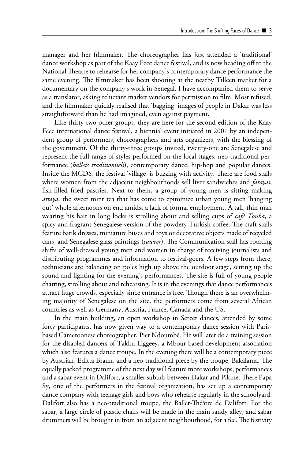manager and her filmmaker. The choreographer has just attended a 'traditional' dance workshop as part of the Kaay Fecc dance festival, and is now heading off to the National Theatre to rehearse for her company's contemporary dance performance the same evening. The filmmaker has been shooting at the nearby Tilleen market for a documentary on the company's work in Senegal. I have accompanied them to serve as a translator, asking reluctant market vendors for permission to film. Most refused, and the filmmaker quickly realised that 'bagging' images of people in Dakar was less straightforward than he had imagined, even against payment.

Like thirty-two other groups, they are here for the second edition of the Kaay Fecc international dance festival, a biennial event initiated in 2001 by an independent group of performers, choreographers and arts organizers, with the blessing of the government. Of the thirty-three groups invited, twenty-one are Senegalese and represent the full range of styles performed on the local stages: neo-traditional performance (*ballets traditionnels*), contemporary dance, hip-hop and popular dances. Inside the MCDS, the festival 'village' is buzzing with activity. There are food stalls where women from the adjacent neighbourhoods sell liver sandwiches and *fatayas*, fish-filled fried pastries. Next to them, a group of young men is sitting making *attaya*, the sweet mint tea that has come to epitomize urban young men 'hanging out' whole afternoons on end amidst a lack of formal employment. A tall, thin man wearing his hair in long locks is strolling about and selling cups of *café Touba*, a spicy and fragrant Senegalese version of the powdery Turkish coffee. The craft stalls feature batik dresses, miniature buses and toys or decorative objects made of recycled cans, and Senegalese glass paintings (*suweer*). The Communication stall has rotating shifts of well-dressed young men and women in charge of receiving journalists and distributing programmes and information to festival-goers. A few steps from there, technicians are balancing on poles high up above the outdoor stage, setting up the sound and lighting for the evening's performances. The site is full of young people chatting, strolling about and rehearsing. It is in the evenings that dance performances attract huge crowds, especially since entrance is free. Though there is an overwhelming majority of Senegalese on the site, the performers come from several African countries as well as Germany, Austria, France, Canada and the US.

In the main building, an open workshop in Sereer dances, attended by some forty participants, has now given way to a contemporary dance session with Parisbased Cameroonese choreographer, Pier Ndoumbé. He will later do a training session for the disabled dancers of Takku Liggeey, a Mbour-based development association which also features a dance troupe. In the evening there will be a contemporary piece by Austrian, Editta Braun, and a neo-traditional piece by the troupe, Bakalama. The equally packed programme of the next day will feature more workshops, performances and a sabar event in Dalifort, a smaller suburb between Dakar and Pikine. There Papa Sy, one of the performers in the festival organization, has set up a contemporary dance company with teenage girls and boys who rehearse regularly in the schoolyard. Dalifort also has a neo-traditional troupe, the Ballet-Théâtre de Dalifort. For the sabar, a large circle of plastic chairs will be made in the main sandy alley, and sabar drummers will be brought in from an adjacent neighbourhood, for a fee. The festivity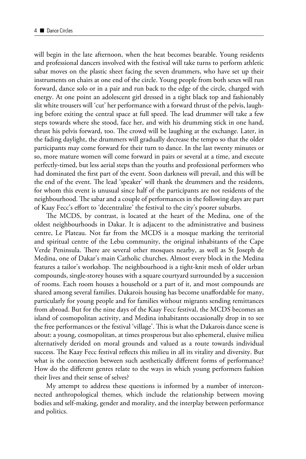will begin in the late afternoon, when the heat becomes bearable. Young residents and professional dancers involved with the festival will take turns to perform athletic sabar moves on the plastic sheet facing the seven drummers, who have set up their instruments on chairs at one end of the circle. Young people from both sexes will run forward, dance solo or in a pair and run back to the edge of the circle, charged with energy. At one point an adolescent girl dressed in a tight black top and fashionably slit white trousers will 'cut' her performance with a forward thrust of the pelvis, laughing before exiting the central space at full speed. The lead drummer will take a few steps towards where she stood, face her, and with his drumming stick in one hand, thrust his pelvis forward, too. The crowd will be laughing at the exchange. Later, in the fading daylight, the drummers will gradually decrease the tempo so that the older participants may come forward for their turn to dance. In the last twenty minutes or so, more mature women will come forward in pairs or several at a time, and execute perfectly-timed, but less aerial steps than the youths and professional performers who had dominated the first part of the event. Soon darkness will prevail, and this will be the end of the event. The lead 'speaker' will thank the drummers and the residents, for whom this event is unusual since half of the participants are not residents of the neighbourhood. The sabar and a couple of performances in the following days are part of Kaay Fecc's effort to 'decentralize' the festival to the city's poorer suburbs.

The MCDS, by contrast, is located at the heart of the Medina, one of the oldest neighbourhoods in Dakar. It is adjacent to the administrative and business centre, Le Plateau. Not far from the MCDS is a mosque marking the territorial and spiritual centre of the Lebu community, the original inhabitants of the Cape Verde Peninsula. There are several other mosques nearby, as well as St Joseph de Medina, one of Dakar's main Catholic churches. Almost every block in the Medina features a tailor's workshop. The neighbourhood is a tight-knit mesh of older urban compounds, single-storey houses with a square courtyard surrounded by a succession of rooms. Each room houses a household or a part of it, and most compounds are shared among several families. Dakarois housing has become unaffordable for many, particularly for young people and for families without migrants sending remittances from abroad. But for the nine days of the Kaay Fecc festival, the MCDS becomes an island of cosmopolitan activity, and Medina inhabitants occasionally drop in to see the free performances or the festival 'village'. This is what the Dakarois dance scene is about: a young, cosmopolitan, at times prosperous but also ephemeral, elusive milieu alternatively derided on moral grounds and valued as a route towards individual success. The Kaay Fecc festival reflects this milieu in all its vitality and diversity. But what is the connection between such aesthetically different forms of performance? How do the different genres relate to the ways in which young performers fashion their lives and their sense of selves?

My attempt to address these questions is informed by a number of interconnected anthropological themes, which include the relationship between moving bodies and self-making, gender and morality, and the interplay between performance and politics.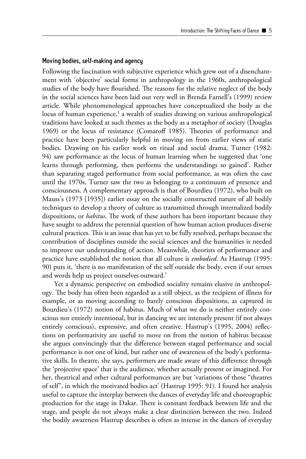# Moving bodies, self-making and agency

Following the fascination with subjective experience which grew out of a disenchantment with 'objective' social forms in anthropology in the 1960s, anthropological studies of the body have flourished. The reasons for the relative neglect of the body in the social sciences have been laid out very well in Brenda Farnell's (1999) review article. While phenomenological approaches have conceptualized the body as the locus of human experience,<sup>1</sup> a wealth of studies drawing on various anthropological traditions have looked at such themes as the body as a metaphor of society (Douglas 1969) or the locus of resistance (Comaroff 1985). Theories of performance and practice have been particularly helpful in moving on from earlier views of static bodies. Drawing on his earlier work on ritual and social drama, Turner (1982: 94) saw performance as the locus of human learning when he suggested that 'one learns through performing, then performs the understandings so gained'. Rather than separating staged performance from social performance, as was often the case until the 1970s, Turner saw the two as belonging to a continuum of presence and consciousness. A complementary approach is that of Bourdieu (1972), who built on Mauss's (1973 [1935]) earlier essay on the socially constructed nature of all bodily techniques to develop a theory of culture as transmitted through internalized bodily dispositions, or *habitus*. The work of these authors has been important because they have sought to address the perennial question of how human action produces diverse cultural practices. This is an issue that has yet to be fully resolved, perhaps because the contribution of disciplines outside the social sciences and the humanities is needed to improve our understanding of action. Meanwhile, theorists of performance and practice have established the notion that all culture is *embodied*. As Hastrup (1995: 90) puts it, 'there is no manifestation of the self outside the body, even if our senses and words help us project ourselves outward.'

Yet a dynamic perspective on embodied sociality remains elusive in anthropology. The body has often been regarded as a still object, as the recipient of illness for example, or as moving according to barely conscious dispositions, as captured in Bourdieu's (1972) notion of habitus. Much of what we do is neither entirely conscious nor entirely intentional, but in dancing we are intensely present (if not always entirely conscious), expressive, and often creative. Hastrup's (1995, 2004) reflections on performativity are useful to move on from the notion of habitus because she argues convincingly that the difference between staged performance and social performance is not one of kind, but rather one of awareness of the body's performative skills. In theatre, she says, performers are made aware of this difference through the 'projective space' that is the audience, whether actually present or imagined. For her, theatrical and other cultural performances are but 'variations of those "theatres of self", in which the motivated bodies act' (Hastrup 1995: 91). I found her analysis useful to capture the interplay between the dances of everyday life and choreographic production for the stage in Dakar. There is constant feedback between life and the stage, and people do not always make a clear distinction between the two. Indeed the bodily awareness Hastrup describes is often as intense in the dances of everyday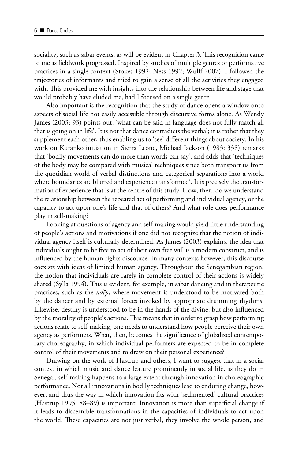sociality, such as sabar events, as will be evident in Chapter 3. This recognition came to me as fieldwork progressed. Inspired by studies of multiple genres or performative practices in a single context (Stokes 1992; Ness 1992; Wulff 2007), I followed the trajectories of informants and tried to gain a sense of all the activities they engaged with. This provided me with insights into the relationship between life and stage that would probably have eluded me, had I focused on a single genre.

Also important is the recognition that the study of dance opens a window onto aspects of social life not easily accessible through discursive forms alone. As Wendy James (2003: 93) points out, 'what can be said in language does not fully match all that is going on in life'. It is not that dance contradicts the verbal; it is rather that they supplement each other, thus enabling us to 'see' different things about society. In his work on Kuranko initiation in Sierra Leone, Michael Jackson (1983: 338) remarks that 'bodily movements can do more than words can say', and adds that 'techniques of the body may be compared with musical techniques since both transport us from the quotidian world of verbal distinctions and categorical separations into a world where boundaries are blurred and experience transformed'. It is precisely the transformation of experience that is at the centre of this study. How, then, do we understand the relationship between the repeated act of performing and individual agency, or the capacity to act upon one's life and that of others? And what role does performance play in self-making?

Looking at questions of agency and self-making would yield little understanding of people's actions and motivations if one did not recognize that the notion of individual agency itself is culturally determined. As James (2003) explains, the idea that individuals ought to be free to act of their own free will is a modern construct, and is influenced by the human rights discourse. In many contexts however, this discourse coexists with ideas of limited human agency. Throughout the Senegambian region, the notion that individuals are rarely in complete control of their actions is widely shared (Sylla 1994). This is evident, for example, in sabar dancing and in therapeutic practices, such as the *ndëp*, where movement is understood to be motivated both by the dancer and by external forces invoked by appropriate drumming rhythms. Likewise, destiny is understood to be in the hands of the divine, but also influenced by the morality of people's actions. This means that in order to grasp how performing actions relate to self-making, one needs to understand how people perceive their own agency as performers. What, then, becomes the significance of globalized contemporary choreography, in which individual performers are expected to be in complete control of their movements and to draw on their personal experience?

Drawing on the work of Hastrup and others, I want to suggest that in a social context in which music and dance feature prominently in social life, as they do in Senegal, self-making happens to a large extent through innovation in choreographic performance. Not all innovations in bodily techniques lead to enduring change, however, and thus the way in which innovation fits with 'sedimented' cultural practices (Hastrup 1995: 88–89) is important. Innovation is more than superficial change if it leads to discernible transformations in the capacities of individuals to act upon the world. These capacities are not just verbal, they involve the whole person, and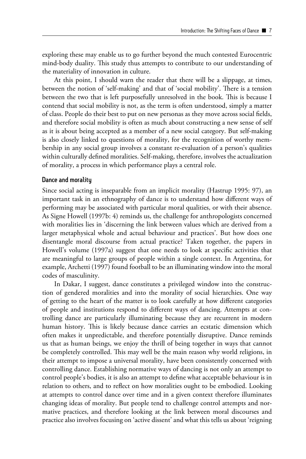exploring these may enable us to go further beyond the much contested Eurocentric mind-body duality. This study thus attempts to contribute to our understanding of the materiality of innovation in culture.

At this point, I should warn the reader that there will be a slippage, at times, between the notion of 'self-making' and that of 'social mobility'. There is a tension between the two that is left purposefully unresolved in the book. This is because I contend that social mobility is not, as the term is often understood, simply a matter of class. People do their best to put on new personas as they move across social fields, and therefore social mobility is often as much about constructing a new sense of self as it is about being accepted as a member of a new social category. But self-making is also closely linked to questions of morality, for the recognition of worthy membership in any social group involves a constant re-evaluation of a person's qualities within culturally defined moralities. Self-making, therefore, involves the actualization of morality, a process in which performance plays a central role.

# Dance and morality

Since social acting is inseparable from an implicit morality (Hastrup 1995: 97), an important task in an ethnography of dance is to understand how different ways of performing may be associated with particular moral qualities, or with their absence. As Signe Howell (1997b: 4) reminds us, the challenge for anthropologists concerned with moralities lies in 'discerning the link between values which are derived from a larger metaphysical whole and actual behaviour and practices'. But how does one disentangle moral discourse from actual practice? Taken together, the papers in Howell's volume (1997a) suggest that one needs to look at specific activities that are meaningful to large groups of people within a single context. In Argentina, for example, Archetti (1997) found football to be an illuminating window into the moral codes of masculinity.

In Dakar, I suggest, dance constitutes a privileged window into the construction of gendered moralities and into the morality of social hierarchies. One way of getting to the heart of the matter is to look carefully at how different categories of people and institutions respond to different ways of dancing. Attempts at controlling dance are particularly illuminating because they are recurrent in modern human history. This is likely because dance carries an ecstatic dimension which often makes it unpredictable, and therefore potentially disruptive. Dance reminds us that as human beings, we enjoy the thrill of being together in ways that cannot be completely controlled. This may well be the main reason why world religions, in their attempt to impose a universal morality, have been consistently concerned with controlling dance. Establishing normative ways of dancing is not only an attempt to control people's bodies, it is also an attempt to define what acceptable behaviour is in relation to others, and to reflect on how moralities ought to be embodied. Looking at attempts to control dance over time and in a given context therefore illuminates changing ideas of morality. But people tend to challenge control attempts and normative practices, and therefore looking at the link between moral discourses and practice also involves focusing on 'active dissent' and what this tells us about 'reigning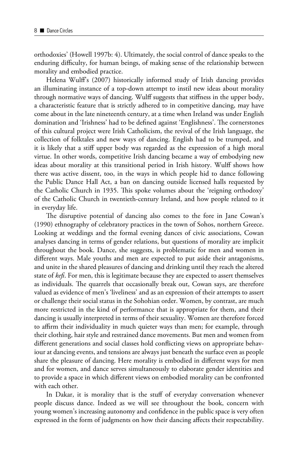orthodoxies' (Howell 1997b: 4). Ultimately, the social control of dance speaks to the enduring difficulty, for human beings, of making sense of the relationship between morality and embodied practice.

Helena Wulff's (2007) historically informed study of Irish dancing provides an illuminating instance of a top-down attempt to instil new ideas about morality through normative ways of dancing. Wulff suggests that stiffness in the upper body, a characteristic feature that is strictly adhered to in competitive dancing, may have come about in the late nineteenth century, at a time when Ireland was under English domination and 'Irishness' had to be defined against 'Englishness'. The cornerstones of this cultural project were Irish Catholicism, the revival of the Irish language, the collection of folktales and new ways of dancing. English had to be trumped, and it is likely that a stiff upper body was regarded as the expression of a high moral virtue. In other words, competitive Irish dancing became a way of embodying new ideas about morality at this transitional period in Irish history. Wulff shows how there was active dissent, too, in the ways in which people hid to dance following the Public Dance Hall Act, a ban on dancing outside licensed halls requested by the Catholic Church in 1935. This spoke volumes about the 'reigning orthodoxy' of the Catholic Church in twentieth-century Ireland, and how people related to it in everyday life.

The disruptive potential of dancing also comes to the fore in Jane Cowan's (1990) ethnography of celebratory practices in the town of Sohos, northern Greece. Looking at weddings and the formal evening dances of civic associations, Cowan analyses dancing in terms of gender relations, but questions of morality are implicit throughout the book. Dance, she suggests, is problematic for men and women in different ways. Male youths and men are expected to put aside their antagonisms, and unite in the shared pleasures of dancing and drinking until they reach the altered state of *kefi*. For men, this is legitimate because they are expected to assert themselves as individuals. The quarrels that occasionally break out, Cowan says, are therefore valued as evidence of men's 'liveliness' and as an expression of their attempts to assert or challenge their social status in the Sohohian order. Women, by contrast, are much more restricted in the kind of performance that is appropriate for them, and their dancing is usually interpreted in terms of their sexuality. Women are therefore forced to affirm their individuality in much quieter ways than men; for example, through their clothing, hair style and restrained dance movements. But men and women from different generations and social classes hold conflicting views on appropriate behaviour at dancing events, and tensions are always just beneath the surface even as people share the pleasure of dancing. Here morality is embodied in different ways for men and for women, and dance serves simultaneously to elaborate gender identities and to provide a space in which different views on embodied morality can be confronted with each other.

In Dakar, it is morality that is the stuff of everyday conversation whenever people discuss dance. Indeed as we will see throughout the book, concern with young women's increasing autonomy and confidence in the public space is very often expressed in the form of judgments on how their dancing affects their respectability.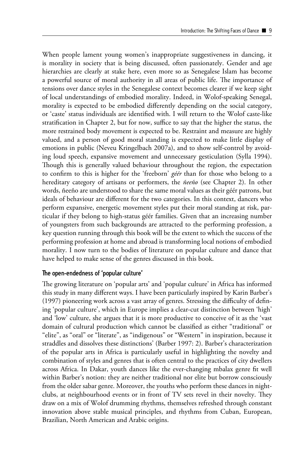When people lament young women's inappropriate suggestiveness in dancing, it is morality in society that is being discussed, often passionately. Gender and age hierarchies are clearly at stake here, even more so as Senegalese Islam has become a powerful source of moral authority in all areas of public life. The importance of tensions over dance styles in the Senegalese context becomes clearer if we keep sight of local understandings of embodied morality. Indeed, in Wolof-speaking Senegal, morality is expected to be embodied differently depending on the social category, or 'caste' status individuals are identified with. I will return to the Wolof caste-like stratification in Chapter 2, but for now, suffice to say that the higher the status, the more restrained body movement is expected to be. Restraint and measure are highly valued, and a person of good moral standing is expected to make little display of emotions in public (Neveu Kringelbach 2007a), and to show self-control by avoiding loud speech, expansive movement and unnecessary gesticulation (Sylla 1994). Though this is generally valued behaviour throughout the region, the expectation to confirm to this is higher for the 'freeborn' *géér* than for those who belong to a hereditary category of artisans or performers, the *ñeeño* (see Chapter 2). In other words, ñeeño are understood to share the same moral values as their géér patrons, but ideals of behaviour are different for the two categories. In this context, dancers who perform expansive, energetic movement styles put their moral standing at risk, particular if they belong to high-status géér families. Given that an increasing number of youngsters from such backgrounds are attracted to the performing profession, a key question running through this book will be the extent to which the success of the performing profession at home and abroad is transforming local notions of embodied morality. I now turn to the bodies of literature on popular culture and dance that have helped to make sense of the genres discussed in this book.

# The open-endedness of 'popular culture'

The growing literature on 'popular arts' and 'popular culture' in Africa has informed this study in many different ways. I have been particularly inspired by Karin Barber's (1997) pioneering work across a vast array of genres. Stressing the difficulty of defining 'popular culture', which in Europe implies a clear-cut distinction between 'high' and 'low' culture, she argues that it is more productive to conceive of it as the 'vast domain of cultural production which cannot be classified as either "traditional" or "elite", as "oral" or "literate", as "indigenous" or "Western" in inspiration, because it straddles and dissolves these distinctions' (Barber 1997: 2). Barber's characterization of the popular arts in Africa is particularly useful in highlighting the novelty and combination of styles and genres that is often central to the practices of city dwellers across Africa. In Dakar, youth dances like the ever-changing mbalax genre fit well within Barber's notion: they are neither traditional nor elite but borrow consciously from the older sabar genre. Moreover, the youths who perform these dances in nightclubs, at neighbourhood events or in front of TV sets revel in their novelty. They draw on a mix of Wolof drumming rhythms, themselves refreshed through constant innovation above stable musical principles, and rhythms from Cuban, European, Brazilian, North American and Arabic origins.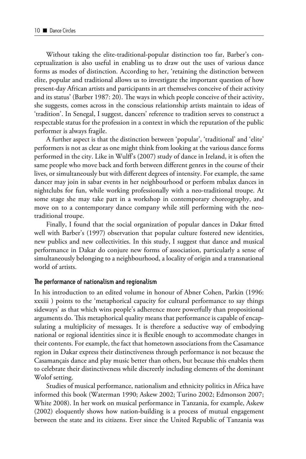Without taking the elite-traditional-popular distinction too far, Barber's conceptualization is also useful in enabling us to draw out the uses of various dance forms as modes of distinction. According to her, 'retaining the distinction between elite, popular and traditional allows us to investigate the important question of how present-day African artists and participants in art themselves conceive of their activity and its status' (Barber 1987: 20). The ways in which people conceive of their activity, she suggests, comes across in the conscious relationship artists maintain to ideas of 'tradition'. In Senegal, I suggest, dancers' reference to tradition serves to construct a respectable status for the profession in a context in which the reputation of the public performer is always fragile.

A further aspect is that the distinction between 'popular', 'traditional' and 'elite' performers is not as clear as one might think from looking at the various dance forms performed in the city. Like in Wulff's (2007) study of dance in Ireland, it is often the same people who move back and forth between different genres in the course of their lives, or simultaneously but with different degrees of intensity. For example, the same dancer may join in sabar events in her neighbourhood or perform mbalax dances in nightclubs for fun, while working professionally with a neo-traditional troupe. At some stage she may take part in a workshop in contemporary choreography, and move on to a contemporary dance company while still performing with the neotraditional troupe.

Finally, I found that the social organization of popular dances in Dakar fitted well with Barber's (1997) observation that popular culture fostered new identities, new publics and new collectivities. In this study, I suggest that dance and musical performance in Dakar do conjure new forms of association, particularly a sense of simultaneously belonging to a neighbourhood, a locality of origin and a transnational world of artists.

# The performance of nationalism and regionalism

In his introduction to an edited volume in honour of Abner Cohen, Parkin (1996: xxxiii ) points to the 'metaphorical capacity for cultural performance to say things sideways' as that which wins people's adherence more powerfully than propositional arguments do. This metaphorical quality means that performance is capable of encapsulating a multiplicity of messages. It is therefore a seductive way of embodying national or regional identities since it is flexible enough to accommodate changes in their contents. For example, the fact that hometown associations from the Casamance region in Dakar express their distinctiveness through performance is not because the Casamançais dance and play music better than others, but because this enables them to celebrate their distinctiveness while discreetly including elements of the dominant Wolof setting.

Studies of musical performance, nationalism and ethnicity politics in Africa have informed this book (Waterman 1990; Askew 2002; Turino 2002; Edmonson 2007; White 2008). In her work on musical performance in Tanzania, for example, Askew (2002) eloquently shows how nation-building is a process of mutual engagement between the state and its citizens. Ever since the United Republic of Tanzania was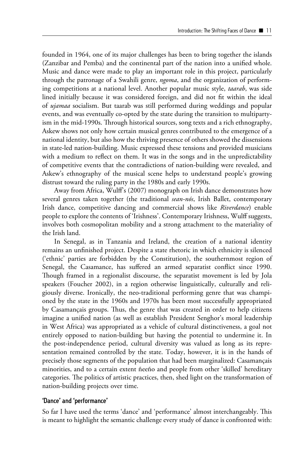founded in 1964, one of its major challenges has been to bring together the islands (Zanzibar and Pemba) and the continental part of the nation into a unified whole. Music and dance were made to play an important role in this project, particularly through the patronage of a Swahili genre, *ngoma*, and the organization of performing competitions at a national level. Another popular music style, *taarab*, was side lined initially because it was considered foreign, and did not fit within the ideal of *ujamaa* socialism. But taarab was still performed during weddings and popular events, and was eventually co-opted by the state during the transition to multipartyism in the mid-1990s. Through historical sources, song texts and a rich ethnography, Askew shows not only how certain musical genres contributed to the emergence of a national identity, but also how the thriving presence of others showed the dissensions in state-led nation-building. Music expressed these tensions and provided musicians with a medium to reflect on them. It was in the songs and in the unpredictability of competitive events that the contradictions of nation-building were revealed, and Askew's ethnography of the musical scene helps to understand people's growing distrust toward the ruling party in the 1980s and early 1990s.

Away from Africa, Wulff's (2007) monograph on Irish dance demonstrates how several genres taken together (the traditional *sean-nós*, Irish Ballet, contemporary Irish dance, competitive dancing and commercial shows like *Riverdance*) enable people to explore the contents of 'Irishness'. Contemporary Irishness, Wulff suggests, involves both cosmopolitan mobility and a strong attachment to the materiality of the Irish land.

In Senegal, as in Tanzania and Ireland, the creation of a national identity remains an unfinished project. Despite a state rhetoric in which ethnicity is silenced ('ethnic' parties are forbidden by the Constitution), the southernmost region of Senegal, the Casamance, has suffered an armed separatist conflict since 1990. Though framed in a regionalist discourse, the separatist movement is led by Jola speakers (Foucher 2002), in a region otherwise linguistically, culturally and religiously diverse. Ironically, the neo-traditional performing genre that was championed by the state in the 1960s and 1970s has been most successfully appropriated by Casamançais groups. Thus, the genre that was created in order to help citizens imagine a unified nation (as well as establish President Senghor's moral leadership in West Africa) was appropriated as a vehicle of cultural distinctiveness, a goal not entirely opposed to nation-building but having the potential to undermine it. In the post-independence period, cultural diversity was valued as long as its representation remained controlled by the state. Today, however, it is in the hands of precisely those segments of the population that had been marginalized: Casamançais minorities, and to a certain extent ñeeño and people from other 'skilled' hereditary categories. The politics of artistic practices, then, shed light on the transformation of nation-building projects over time.

# 'Dance' and 'performance'

So far I have used the terms 'dance' and 'performance' almost interchangeably. This is meant to highlight the semantic challenge every study of dance is confronted with: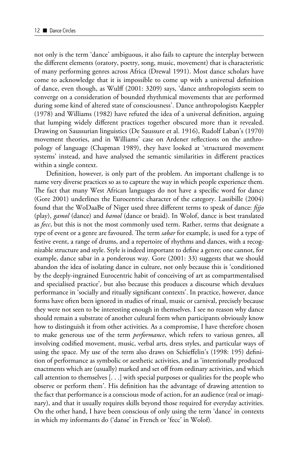not only is the term 'dance' ambiguous, it also fails to capture the interplay between the different elements (oratory, poetry, song, music, movement) that is characteristic of many performing genres across Africa (Drewal 1991). Most dance scholars have come to acknowledge that it is impossible to come up with a universal definition of dance, even though, as Wulff (2001: 3209) says, 'dance anthropologists seem to converge on a consideration of bounded rhythmical movements that are performed during some kind of altered state of consciousness'. Dance anthropologists Kaeppler (1978) and Williams (1982) have refuted the idea of a universal definition, arguing that lumping widely different practices together obscured more than it revealed. Drawing on Saussurian linguistics (De Saussure et al. 1916), Rudolf Laban's (1970) movement theories, and in Williams' case on Ardener reflections on the anthropology of language (Chapman 1989), they have looked at 'structured movement systems' instead, and have analysed the semantic similarities in different practices within a single context.

Definition, however, is only part of the problem. An important challenge is to name very diverse practices so as to capture the way in which people experience them. The fact that many West African languages do not have a specific word for dance (Gore 2001) underlines the Eurocentric character of the category. Lassibille (2004) found that the WoDaaBe of Niger used three different terms to speak of dance: *fijjo* (play), *gamol* (dance) and *bamol* (dance or braid). In Wolof, dance is best translated as *fecc*, but this is not the most commonly used term. Rather, terms that designate a type of event or a genre are favoured. The term *sabar* for example, is used for a type of festive event, a range of drums, and a repertoire of rhythms and dances, with a recognizable structure and style. Style is indeed important to define a genre; one cannot, for example, dance sabar in a ponderous way. Gore (2001: 33) suggests that we should abandon the idea of isolating dance in culture, not only because this is 'conditioned by the deeply-ingrained Eurocentric habit of conceiving of art as compartmentalised and specialised practice', but also because this produces a discourse which devalues performance in 'socially and ritually significant contexts'. In practice, however, dance forms have often been ignored in studies of ritual, music or carnival, precisely because they were not seen to be interesting enough in themselves. I see no reason why dance should remain a substrate of another cultural form when participants obviously know how to distinguish it from other activities. As a compromise, I have therefore chosen to make generous use of the term *performance*, which refers to various genres, all involving codified movement, music, verbal arts, dress styles, and particular ways of using the space. My use of the term also draws on Schieffelin's (1998: 195) definition of performance as symbolic or aesthetic activities, and as 'intentionally produced enactments which are (usually) marked and set off from ordinary activities, and which call attention to themselves [. . .] with special purposes or qualities for the people who observe or perform them'. His definition has the advantage of drawing attention to the fact that performance is a conscious mode of action, for an audience (real or imaginary), and that it usually requires skills beyond those required for everyday activities. On the other hand, I have been conscious of only using the term 'dance' in contexts in which my informants do ('danse' in French or 'fecc' in Wolof).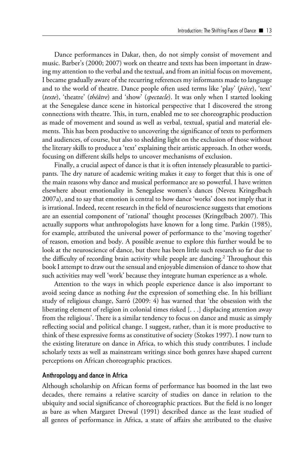Dance performances in Dakar, then, do not simply consist of movement and music. Barber's (2000; 2007) work on theatre and texts has been important in drawing my attention to the verbal and the textual, and from an initial focus on movement, I became gradually aware of the recurring references my informants made to language and to the world of theatre. Dance people often used terms like 'play' (*pièce*), 'text' (*texte*), 'theatre' (*théâtre*) and 'show' (*spectacle*). It was only when I started looking at the Senegalese dance scene in historical perspective that I discovered the strong connections with theatre. This, in turn, enabled me to see choreographic production as made of movement and sound as well as verbal, textual, spatial and material elements. This has been productive to uncovering the significance of texts to performers and audiences, of course, but also to shedding light on the exclusion of those without the literary skills to produce a 'text' explaining their artistic approach. In other words, focusing on different skills helps to uncover mechanisms of exclusion.

Finally, a crucial aspect of dance is that it is often intensely pleasurable to participants. The dry nature of academic writing makes it easy to forget that this is one of the main reasons why dance and musical performance are so powerful. I have written elsewhere about emotionality in Senegalese women's dances (Neveu Kringelbach 2007a), and to say that emotion is central to how dance 'works' does not imply that it is irrational. Indeed, recent research in the field of neuroscience suggests that emotions are an essential component of 'rational' thought processes (Kringelbach 2007). This actually supports what anthropologists have known for a long time. Parkin (1985), for example, attributed the universal power of performance to the 'moving together' of reason, emotion and body. A possible avenue to explore this further would be to look at the neuroscience of dance, but there has been little such research so far due to the difficulty of recording brain activity while people are dancing.<sup>2</sup> Throughout this book I attempt to draw out the sensual and enjoyable dimension of dance to show that such activities may well 'work' because they integrate human experience as a whole.

Attention to the ways in which people experience dance is also important to avoid seeing dance as nothing *but* the expression of something else. In his brilliant study of religious change, Sarró (2009: 4) has warned that 'the obsession with the liberating element of religion in colonial times risked [. . .] displacing attention away from the religious'. There is a similar tendency to focus on dance and music as simply reflecting social and political change. I suggest, rather, than it is more productive to think of these expressive forms as constitutive of society (Stokes 1997). I now turn to the existing literature on dance in Africa, to which this study contributes. I include scholarly texts as well as mainstream writings since both genres have shaped current perceptions on African choreographic practices.

### Anthropology and dance in Africa

Although scholarship on African forms of performance has boomed in the last two decades, there remains a relative scarcity of studies on dance in relation to the ubiquity and social significance of choreographic practices. But the field is no longer as bare as when Margaret Drewal (1991) described dance as the least studied of all genres of performance in Africa, a state of affairs she attributed to the elusive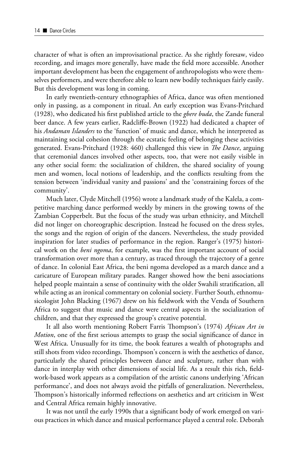character of what is often an improvisational practice. As she rightly foresaw, video recording, and images more generally, have made the field more accessible. Another important development has been the engagement of anthropologists who were themselves performers, and were therefore able to learn new bodily techniques fairly easily. But this development was long in coming.

In early twentieth-century ethnographies of Africa, dance was often mentioned only in passing, as a component in ritual. An early exception was Evans-Pritchard (1928), who dedicated his first published article to the *gbere buda*, the Zande funeral beer dance. A few years earlier, Radcliffe-Brown (1922) had dedicated a chapter of his *Andaman Islanders* to the 'function' of music and dance, which he interpreted as maintaining social cohesion through the ecstatic feeling of belonging these activities generated. Evans-Pritchard (1928: 460) challenged this view in *The Dance*, arguing that ceremonial dances involved other aspects, too, that were not easily visible in any other social form: the socialization of children, the shared sociality of young men and women, local notions of leadership, and the conflicts resulting from the tension between 'individual vanity and passions' and the 'constraining forces of the community'.

Much later, Clyde Mitchell (1956) wrote a landmark study of the Kalela, a competitive marching dance performed weekly by miners in the growing towns of the Zambian Copperbelt. But the focus of the study was urban ethnicity, and Mitchell did not linger on choreographic description. Instead he focused on the dress styles, the songs and the region of origin of the dancers. Nevertheless, the study provided inspiration for later studies of performance in the region. Ranger's (1975) historical work on the *beni ngoma*, for example, was the first important account of social transformation over more than a century, as traced through the trajectory of a genre of dance. In colonial East Africa, the beni ngoma developed as a march dance and a caricature of European military parades. Ranger showed how the beni associations helped people maintain a sense of continuity with the older Swahili stratification, all while acting as an ironical commentary on colonial society. Further South, ethnomusicologist John Blacking (1967) drew on his fieldwork with the Venda of Southern Africa to suggest that music and dance were central aspects in the socialization of children, and that they expressed the group's creative potential.

It all also worth mentioning Robert Farris Thompson's (1974) *African Art in Motion*, one of the first serious attempts to grasp the social significance of dance in West Africa. Unusually for its time, the book features a wealth of photographs and still shots from video recordings. Thompson's concern is with the aesthetics of dance, particularly the shared principles between dance and sculpture, rather than with dance in interplay with other dimensions of social life. As a result this rich, fieldwork-based work appears as a compilation of the artistic canons underlying 'African performance', and does not always avoid the pitfalls of generalization. Nevertheless, Thompson's historically informed reflections on aesthetics and art criticism in West and Central Africa remain highly innovative.

It was not until the early 1990s that a significant body of work emerged on various practices in which dance and musical performance played a central role. Deborah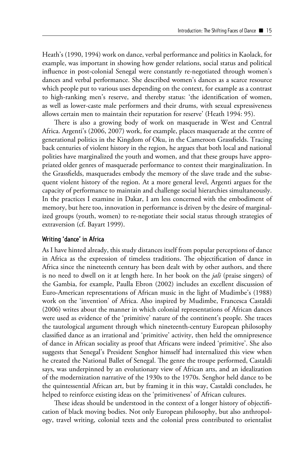Heath's (1990, 1994) work on dance, verbal performance and politics in Kaolack, for example, was important in showing how gender relations, social status and political influence in post-colonial Senegal were constantly re-negotiated through women's dances and verbal performance. She described women's dances as a scarce resource which people put to various uses depending on the context, for example as a contrast to high-ranking men's reserve, and thereby status: 'the identification of women, as well as lower-caste male performers and their drums, with sexual expressiveness allows certain men to maintain their reputation for reserve' (Heath 1994: 95).

There is also a growing body of work on masquerade in West and Central Africa. Argenti's (2006, 2007) work, for example, places masquerade at the centre of generational politics in the Kingdom of Oku, in the Cameroon Grassfields. Tracing back centuries of violent history in the region, he argues that both local and national polities have marginalized the youth and women, and that these groups have appropriated older genres of masquerade performance to contest their marginalization. In the Grassfields, masquerades embody the memory of the slave trade and the subsequent violent history of the region. At a more general level, Argenti argues for the capacity of performance to maintain and challenge social hierarchies simultaneously. In the practices I examine in Dakar, I am less concerned with the embodiment of memory, but here too, innovation in performance is driven by the desire of marginalized groups (youth, women) to re-negotiate their social status through strategies of extraversion (cf. Bayart 1999).

# Writing 'dance' in Africa

As I have hinted already, this study distances itself from popular perceptions of dance in Africa as the expression of timeless traditions. The objectification of dance in Africa since the nineteenth century has been dealt with by other authors, and there is no need to dwell on it at length here. In her book on the *jali* (praise singers) of the Gambia, for example, Paulla Ebron (2002) includes an excellent discussion of Euro-American representations of African music in the light of Mudimbe's (1988) work on the 'invention' of Africa. Also inspired by Mudimbe, Francesca Castaldi (2006) writes about the manner in which colonial representations of African dances were used as evidence of the 'primitive' nature of the continent's people. She traces the tautological argument through which nineteenth-century European philosophy classified dance as an irrational and 'primitive' activity, then held the omnipresence of dance in African sociality as proof that Africans were indeed 'primitive'. She also suggests that Senegal's President Senghor himself had internalized this view when he created the National Ballet of Senegal. The genre the troupe performed, Castaldi says, was underpinned by an evolutionary view of African arts, and an idealization of the modernization narrative of the 1930s to the 1970s. Senghor held dance to be the quintessential African art, but by framing it in this way, Castaldi concludes, he helped to reinforce existing ideas on the 'primitiveness' of African cultures.

These ideas should be understood in the context of a longer history of objectification of black moving bodies. Not only European philosophy, but also anthropology, travel writing, colonial texts and the colonial press contributed to orientalist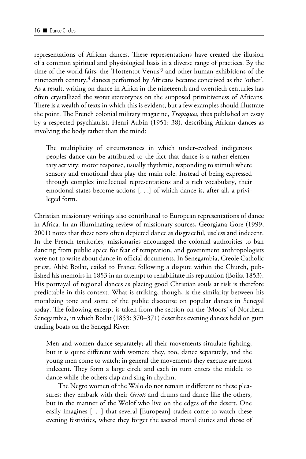representations of African dances. These representations have created the illusion of a common spiritual and physiological basis in a diverse range of practices. By the time of the world fairs, the 'Hottentot Venus'3 and other human exhibitions of the nineteenth century,<sup>4</sup> dances performed by Africans became conceived as the 'other'. As a result, writing on dance in Africa in the nineteenth and twentieth centuries has often crystallized the worst stereotypes on the supposed primitiveness of Africans. There is a wealth of texts in which this is evident, but a few examples should illustrate the point. The French colonial military magazine, *Tropiques*, thus published an essay by a respected psychiatrist, Henri Aubin (1951: 38), describing African dances as involving the body rather than the mind:

The multiplicity of circumstances in which under-evolved indigenous peoples dance can be attributed to the fact that dance is a rather elementary activity: motor response, usually rhythmic, responding to stimuli where sensory and emotional data play the main role. Instead of being expressed through complex intellectual representations and a rich vocabulary, their emotional states become actions [. . .] of which dance is, after all, a privileged form.

Christian missionary writings also contributed to European representations of dance in Africa. In an illuminating review of missionary sources, Georgiana Gore (1999, 2001) notes that these texts often depicted dance as disgraceful, useless and indecent. In the French territories, missionaries encouraged the colonial authorities to ban dancing from public space for fear of temptation, and government anthropologists were not to write about dance in official documents. In Senegambia, Creole Catholic priest, Abbé Boilat, exiled to France following a dispute within the Church, published his memoirs in 1853 in an attempt to rehabilitate his reputation (Boilat 1853). His portrayal of regional dances as placing good Christian souls at risk is therefore predictable in this context. What is striking, though, is the similarity between his moralizing tone and some of the public discourse on popular dances in Senegal today. The following excerpt is taken from the section on the 'Moors' of Northern Senegambia, in which Boilat (1853: 370–371) describes evening dances held on gum trading boats on the Senegal River:

Men and women dance separately; all their movements simulate fighting; but it is quite different with women: they, too, dance separately, and the young men come to watch; in general the movements they execute are most indecent. They form a large circle and each in turn enters the middle to dance while the others clap and sing in rhythm.

The Negro women of the Walo do not remain indifferent to these pleasures; they embark with their *Griots* and drums and dance like the others, but in the manner of the Wolof who live on the edges of the desert. One easily imagines [. . .] that several [European] traders come to watch these evening festivities, where they forget the sacred moral duties and those of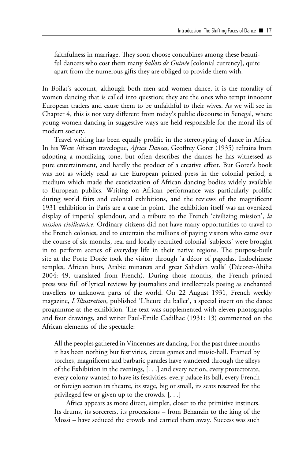faithfulness in marriage. They soon choose concubines among these beautiful dancers who cost them many *ballots de Guinée* [colonial currency], quite apart from the numerous gifts they are obliged to provide them with.

In Boilat's account, although both men and women dance, it is the morality of women dancing that is called into question; they are the ones who tempt innocent European traders and cause them to be unfaithful to their wives. As we will see in Chapter 4, this is not very different from today's public discourse in Senegal, where young women dancing in suggestive ways are held responsible for the moral ills of modern society.

Travel writing has been equally prolific in the stereotyping of dance in Africa. In his West African travelogue, *Africa Dances*, Geoffrey Gorer (1935) refrains from adopting a moralizing tone, but often describes the dances he has witnessed as pure entertainment, and hardly the product of a creative effort. But Gorer's book was not as widely read as the European printed press in the colonial period, a medium which made the exoticization of African dancing bodies widely available to European publics. Writing on African performance was particularly prolific during world fairs and colonial exhibitions, and the reviews of the magnificent 1931 exhibition in Paris are a case in point. The exhibition itself was an oversized display of imperial splendour, and a tribute to the French 'civilizing mission', *la mission civilisatrice*. Ordinary citizens did not have many opportunities to travel to the French colonies, and to entertain the millions of paying visitors who came over the course of six months, real and locally recruited colonial 'subjects' were brought in to perform scenes of everyday life in their native regions. The purpose-built site at the Porte Dorée took the visitor through 'a décor of pagodas, Indochinese temples, African huts, Arabic minarets and great Sahelian walls' (Décoret-Ahiha 2004: 49, translated from French). During those months, the French printed press was full of lyrical reviews by journalists and intellectuals posing as enchanted travellers to unknown parts of the world. On 22 August 1931, French weekly magazine, *L'Illustration*, published 'L'heure du ballet', a special insert on the dance programme at the exhibition. The text was supplemented with eleven photographs and four drawings, and writer Paul-Emile Cadilhac (1931: 13) commented on the African elements of the spectacle:

All the peoples gathered in Vincennes are dancing. For the past three months it has been nothing but festivities, circus games and music-hall. Framed by torches, magnificent and barbaric parades have wandered through the alleys of the Exhibition in the evenings, [. . .] and every nation, every protectorate, every colony wanted to have its festivities, every palace its ball, every French or foreign section its theatre, its stage, big or small, its seats reserved for the privileged few or given up to the crowds. [. . .]

Africa appears as more direct, simpler, closer to the primitive instincts. Its drums, its sorcerers, its processions – from Behanzin to the king of the Mossi – have seduced the crowds and carried them away. Success was such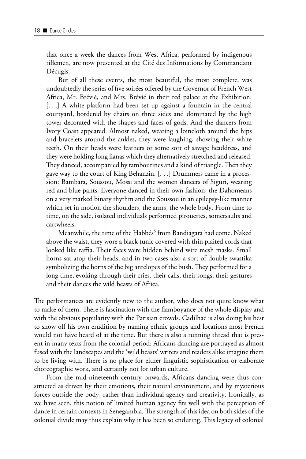that once a week the dances from West Africa, performed by indigenous riflemen, are now presented at the Cité des Informations by Commandant Décugis.

But of all these events, the most beautiful, the most complete, was undoubtedly the series of five soirées offered by the Governor of French West Africa, Mr. Brévié, and Mrs. Brévié in their red palace at the Exhibition. [...] A white platform had been set up against a fountain in the central courtyard, bordered by chairs on three sides and dominated by the high tower decorated with the shapes and faces of gods. And the dancers from Ivory Coast appeared. Almost naked, wearing a loincloth around the hips and bracelets around the ankles, they were laughing, showing their white teeth. On their heads were feathers or some sort of savage headdress, and they were holding long lianas which they alternatively stretched and released. They danced, accompanied by tambourines and a kind of triangle. Then they gave way to the court of King Behanzin. [. . .] Drummers came in a procession: Bambara, Soussou, Mossi and the women dancers of Siguri, wearing red and blue pants. Everyone danced in their own fashion, the Dahomeans on a very marked binary rhythm and the Soussou in an epilepsy-like manner which set in motion the shoulders, the arms, the whole body. From time to time, on the side, isolated individuals performed pirouettes, somersaults and cartwheels.

Meanwhile, the time of the Habbés<sup>5</sup> from Bandiagara had come. Naked above the waist, they wore a black tunic covered with thin plaited cords that looked like raffia. Their faces were hidden behind wire mesh masks. Small horns sat atop their heads, and in two cases also a sort of double swastika symbolizing the horns of the big antelopes of the bush. They performed for a long time, evoking through their cries, their calls, their songs, their gestures and their dances the wild beasts of Africa.

The performances are evidently new to the author, who does not quite know what to make of them. There is fascination with the flamboyance of the whole display and with the obvious popularity with the Parisian crowds. Cadilhac is also doing his best to show off his own erudition by naming ethnic groups and locations most French would not have heard of at the time. But there is also a running thread that is present in many texts from the colonial period: Africans dancing are portrayed as almost fused with the landscapes and the 'wild beasts' writers and readers alike imagine them to be living with. There is no place for either linguistic sophistication or elaborate choreographic work, and certainly not for urban culture.

From the mid-nineteenth century onwards, Africans dancing were thus constructed as driven by their emotions, their natural environment, and by mysterious forces outside the body, rather than individual agency and creativity. Ironically, as we have seen, this notion of limited human agency fits well with the perception of dance in certain contexts in Senegambia. The strength of this idea on both sides of the colonial divide may thus explain why it has been so enduring. This legacy of colonial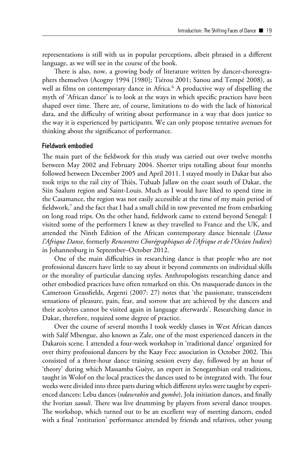representations is still with us in popular perceptions, albeit phrased in a different language, as we will see in the course of the book.

There is also, now, a growing body of literature written by dancer-choreographers themselves (Acogny 1994 [1980]; Tiérou 2001; Sanou and Tempé 2008), as well as films on contemporary dance in Africa.<sup>6</sup> A productive way of dispelling the myth of 'African dance' is to look at the ways in which specific practices have been shaped over time. There are, of course, limitations to do with the lack of historical data, and the difficulty of writing about performance in a way that does justice to the way it is experienced by participants. We can only propose tentative avenues for thinking about the significance of performance.

# Fieldwork embodied

The main part of the fieldwork for this study was carried out over twelve months between May 2002 and February 2004. Shorter trips totalling about four months followed between December 2005 and April 2011. I stayed mostly in Dakar but also took trips to the rail city of Thiès, Tubaab Jallaw on the coast south of Dakar, the Siin Saalum region and Saint-Louis. Much as I would have liked to spend time in the Casamance, the region was not easily accessible at the time of my main period of fieldwork,<sup>7</sup> and the fact that I had a small child in tow prevented me from embarking on long road trips. On the other hand, fieldwork came to extend beyond Senegal: I visited some of the performers I knew as they travelled to France and the UK, and attended the Ninth Edition of the African contemporary dance biennale (*Danse l'Afrique Danse*, formerly *Rencontres Chorégraphiques de l'Afrique et de l'Océan Indien*) in Johannesburg in September–October 2012.

One of the main difficulties in researching dance is that people who are not professional dancers have little to say about it beyond comments on individual skills or the morality of particular dancing styles. Anthropologists researching dance and other embodied practices have often remarked on this. On masquerade dances in the Cameroon Grassfields, Argenti (2007: 27) notes that 'the passionate, transcendent sensations of pleasure, pain, fear, and sorrow that are achieved by the dancers and their acolytes cannot be visited again in language afterwards'. Researching dance in Dakar, therefore, required some degree of practice.

Over the course of several months I took weekly classes in West African dances with Salif Mbengue, also known as Zale, one of the most experienced dancers in the Dakarois scene. I attended a four-week workshop in 'traditional dance' organized for over thirty professional dancers by the Kaay Fecc association in October 2002. This consisted of a three-hour dance training session every day, followed by an hour of 'theory' during which Massamba Guèye, an expert in Senegambian oral traditions, taught in Wolof on the local practices the dances used to be integrated with. The four weeks were divided into three parts during which different styles were taught by experienced dancers: Lebu dances (*ndawrabin* and *gumbe*), Jola initiation dances, and finally the Ivorian *zaouli*. There was live drumming by players from several dance troupes. The workshop, which turned out to be an excellent way of meeting dancers, ended with a final 'restitution' performance attended by friends and relatives, other young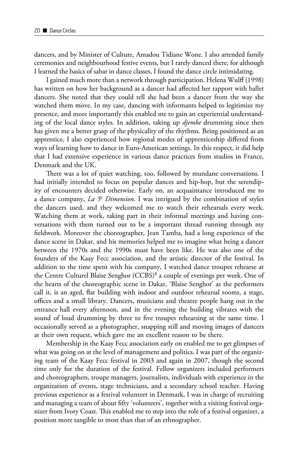dancers, and by Minister of Culture, Amadou Tidiane Wone. I also attended family ceremonies and neighbourhood festive events, but I rarely danced there, for although I learned the basics of sabar in dance classes, I found the dance circle intimidating.

I gained much more than a network through participation. Helena Wulff (1998) has written on how her background as a dancer had affected her rapport with ballet dancers. She noted that they could tell she had been a dancer from the way she watched them move. In my case, dancing with informants helped to legitimize my presence, and more importantly this enabled me to gain an experiential understanding of the local dance styles. In addition, taking up *djembe* drumming since then has given me a better grasp of the physicality of the rhythms. Being positioned as an apprentice, I also experienced how regional modes of apprenticeship differed from ways of learning how to dance in Euro-American settings. In this respect, it did help that I had extensive experience in various dance practices from studios in France, Denmark and the UK.

There was a lot of quiet watching, too, followed by mundane conversations. I had initially intended to focus on popular dances and hip-hop, but the serendipity of encounters decided otherwise. Early on, an acquaintance introduced me to a dance company, *La 5<sup>e</sup> Dimension*. I was intrigued by the combination of styles the dancers used, and they welcomed me to watch their rehearsals every week. Watching them at work, taking part in their informal meetings and having conversations with them turned out to be a important thread running through my fieldwork. Moreover the choreographer, Jean Tamba, had a long experience of the dance scene in Dakar, and his memories helped me to imagine what being a dancer between the 1970s and the 1990s must have been like. He was also one of the founders of the Kaay Fecc association, and the artistic director of the festival. In addition to the time spent with his company, I watched dance troupes rehearse at the Centre Culturel Blaise Senghor (CCBS)8 a couple of evenings per week. One of the hearts of the choreographic scene in Dakar, 'Blaise Senghor' as the performers call it, is an aged, flat building with indoor and outdoor rehearsal rooms, a stage, offices and a small library. Dancers, musicians and theatre people hang out in the entrance hall every afternoon, and in the evening the building vibrates with the sound of loud drumming by three to five troupes rehearsing at the same time. I occasionally served as a photographer, snapping still and moving images of dancers at their own request, which gave me an excellent reason to be there.

Membership in the Kaay Fecc association early on enabled me to get glimpses of what was going on at the level of management and politics. I was part of the organizing team of the Kaay Fecc festival in 2003 and again in 2007, though the second time only for the duration of the festival. Fellow organizers included performers and choreographers, troupe managers, journalists, individuals with experience in the organization of events, stage technicians, and a secondary school teacher. Having previous experience as a festival volunteer in Denmark, I was in charge of recruiting and managing a team of about fifty 'volunteers', together with a visiting festival organizer from Ivory Coast. This enabled me to step into the role of a festival organizer, a position more tangible to most than that of an ethnographer.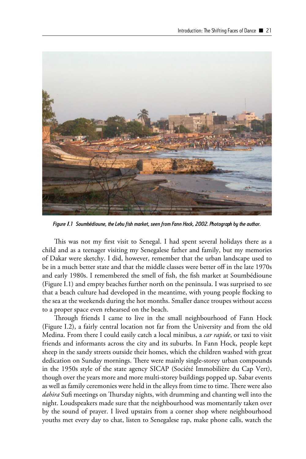

*Figure* **I***.1 Soumbédioune, the Lebu fish market, seen from Fann Hock, 2002. Photograph by the author.*

This was not my first visit to Senegal. I had spent several holidays there as a child and as a teenager visiting my Senegalese father and family, but my memories of Dakar were sketchy. I did, however, remember that the urban landscape used to be in a much better state and that the middle classes were better off in the late 1970s and early 1980s. I remembered the smell of fish, the fish market at Soumbédioune (Figure I.1) and empty beaches further north on the peninsula. I was surprised to see that a beach culture had developed in the meantime, with young people flocking to the sea at the weekends during the hot months. Smaller dance troupes without access to a proper space even rehearsed on the beach.

Through friends I came to live in the small neighbourhood of Fann Hock (Figure I.2), a fairly central location not far from the University and from the old Medina. From there I could easily catch a local minibus, a *car rapide*, or taxi to visit friends and informants across the city and its suburbs. In Fann Hock, people kept sheep in the sandy streets outside their homes, which the children washed with great dedication on Sunday mornings. There were mainly single-storey urban compounds in the 1950s style of the state agency SICAP (Société Immobilière du Cap Vert), though over the years more and more multi-storey buildings popped up. Sabar events as well as family ceremonies were held in the alleys from time to time. There were also *dahira* Sufi meetings on Thursday nights, with drumming and chanting well into the night. Loudspeakers made sure that the neighbourhood was momentarily taken over by the sound of prayer. I lived upstairs from a corner shop where neighbourhood youths met every day to chat, listen to Senegalese rap, make phone calls, watch the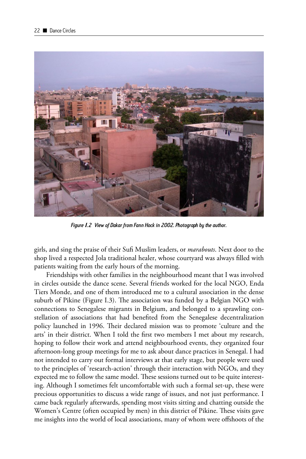

*Figure* **I***.2 View of Dakar from Fann Hock in 2002. Photograph by the author.*

girls, and sing the praise of their Sufi Muslim leaders, or *marabouts*. Next door to the shop lived a respected Jola traditional healer, whose courtyard was always filled with patients waiting from the early hours of the morning.

Friendships with other families in the neighbourhood meant that I was involved in circles outside the dance scene. Several friends worked for the local NGO, Enda Tiers Monde, and one of them introduced me to a cultural association in the dense suburb of Pikine (Figure I.3). The association was funded by a Belgian NGO with connections to Senegalese migrants in Belgium, and belonged to a sprawling constellation of associations that had benefited from the Senegalese decentralization policy launched in 1996. Their declared mission was to promote 'culture and the arts' in their district. When I told the first two members I met about my research, hoping to follow their work and attend neighbourhood events, they organized four afternoon-long group meetings for me to ask about dance practices in Senegal. I had not intended to carry out formal interviews at that early stage, but people were used to the principles of 'research-action' through their interaction with NGOs, and they expected me to follow the same model. These sessions turned out to be quite interesting. Although I sometimes felt uncomfortable with such a formal set-up, these were precious opportunities to discuss a wide range of issues, and not just performance. I came back regularly afterwards, spending most visits sitting and chatting outside the Women's Centre (often occupied by men) in this district of Pikine. These visits gave me insights into the world of local associations, many of whom were offshoots of the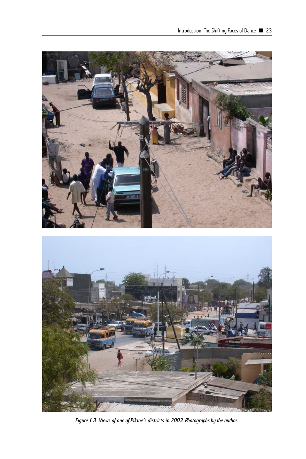

*Figure* **I***.3 Views of one of Pikine's districts in 2003. Photographs by the author.*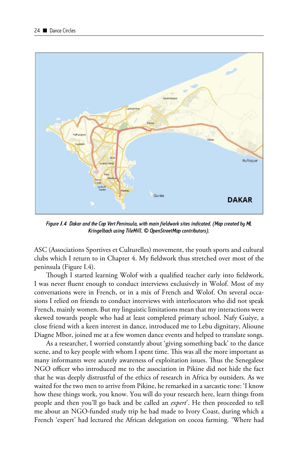

*Figure* **I***.4 Dakar and the Cap Vert Peninsula, with main fieldwork sites indicated. (Map created by ML Kringelbach using TileMill. © OpenStreetMap contributors).*

ASC (Associations Sportives et Culturelles) movement, the youth sports and cultural clubs which I return to in Chapter 4. My fieldwork thus stretched over most of the peninsula (Figure I.4).

Though I started learning Wolof with a qualified teacher early into fieldwork, I was never fluent enough to conduct interviews exclusively in Wolof. Most of my conversations were in French, or in a mix of French and Wolof. On several occasions I relied on friends to conduct interviews with interlocutors who did not speak French, mainly women. But my linguistic limitations mean that my interactions were skewed towards people who had at least completed primary school. Nafy Guèye, a close friend with a keen interest in dance, introduced me to Lebu dignitary, Alioune Diagne Mbor, joined me at a few women dance events and helped to translate songs.

As a researcher, I worried constantly about 'giving something back' to the dance scene, and to key people with whom I spent time. This was all the more important as many informants were acutely awareness of exploitation issues. Thus the Senegalese NGO officer who introduced me to the association in Pikine did not hide the fact that he was deeply distrustful of the ethics of research in Africa by outsiders. As we waited for the two men to arrive from Pikine, he remarked in a sarcastic tone: 'I know how these things work, you know. You will do your research here, learn things from people and then you'll go back and be called an *expert*'. He then proceeded to tell me about an NGO-funded study trip he had made to Ivory Coast, during which a French 'expert' had lectured the African delegation on cocoa farming. 'Where had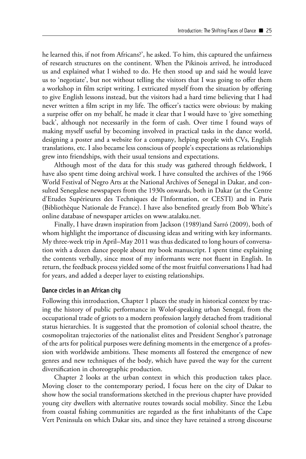he learned this, if not from Africans?', he asked. To him, this captured the unfairness of research structures on the continent. When the Pikinois arrived, he introduced us and explained what I wished to do. He then stood up and said he would leave us to 'negotiate', but not without telling the visitors that I was going to offer them a workshop in film script writing. I extricated myself from the situation by offering to give English lessons instead, but the visitors had a hard time believing that I had never written a film script in my life. The officer's tactics were obvious: by making a surprise offer on my behalf, he made it clear that I would have to 'give something back', although not necessarily in the form of cash. Over time I found ways of making myself useful by becoming involved in practical tasks in the dance world, designing a poster and a website for a company, helping people with CVs, English translations, etc. I also became less conscious of people's expectations as relationships grew into friendships, with their usual tensions and expectations.

Although most of the data for this study was gathered through fieldwork, I have also spent time doing archival work. I have consulted the archives of the 1966 World Festival of Negro Arts at the National Archives of Senegal in Dakar, and consulted Senegalese newspapers from the 1930s onwards, both in Dakar (at the Centre d'Etudes Supérieures des Techniques de l'Information, or CESTI) and in Paris (Bibliothèque Nationale de France). I have also benefited greatly from Bob White's online database of newspaper articles on www.atalaku.net.

Finally, I have drawn inspiration from Jackson (1989)and Sarró (2009), both of whom highlight the importance of discussing ideas and writing with key informants. My three-week trip in April–May 2011 was thus dedicated to long hours of conversation with a dozen dance people about my book manuscript. I spent time explaining the contents verbally, since most of my informants were not fluent in English. In return, the feedback process yielded some of the most fruitful conversations I had had for years, and added a deeper layer to existing relationships.

#### Dance circles in an African city

Following this introduction, Chapter 1 places the study in historical context by tracing the history of public performance in Wolof-speaking urban Senegal, from the occupational trade of griots to a modern profession largely detached from traditional status hierarchies. It is suggested that the promotion of colonial school theatre, the cosmopolitan trajectories of the nationalist elites and President Senghor's patronage of the arts for political purposes were defining moments in the emergence of a profession with worldwide ambitions. These moments all fostered the emergence of new genres and new techniques of the body, which have paved the way for the current diversification in choreographic production.

Chapter 2 looks at the urban context in which this production takes place. Moving closer to the contemporary period, I focus here on the city of Dakar to show how the social transformations sketched in the previous chapter have provided young city dwellers with alternative routes towards social mobility. Since the Lebu from coastal fishing communities are regarded as the first inhabitants of the Cape Vert Peninsula on which Dakar sits, and since they have retained a strong discourse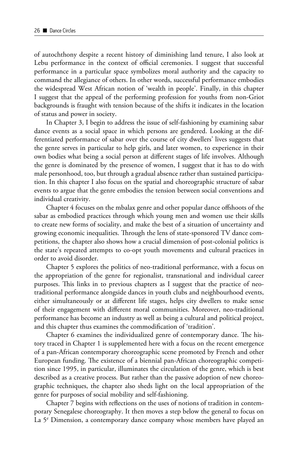of autochthony despite a recent history of diminishing land tenure, I also look at Lebu performance in the context of official ceremonies. I suggest that successful performance in a particular space symbolizes moral authority and the capacity to command the allegiance of others. In other words, successful performance embodies the widespread West African notion of 'wealth in people'. Finally, in this chapter I suggest that the appeal of the performing profession for youths from non-Griot backgrounds is fraught with tension because of the shifts it indicates in the location of status and power in society.

In Chapter 3, I begin to address the issue of self-fashioning by examining sabar dance events as a social space in which persons are gendered. Looking at the differentiated performance of sabar over the course of city dwellers' lives suggests that the genre serves in particular to help girls, and later women, to experience in their own bodies what being a social person at different stages of life involves. Although the genre is dominated by the presence of women, I suggest that it has to do with male personhood, too, but through a gradual absence rather than sustained participation. In this chapter I also focus on the spatial and choreographic structure of sabar events to argue that the genre embodies the tension between social conventions and individual creativity.

Chapter 4 focuses on the mbalax genre and other popular dance offshoots of the sabar as embodied practices through which young men and women use their skills to create new forms of sociality, and make the best of a situation of uncertainty and growing economic inequalities. Through the lens of state-sponsored TV dance competitions, the chapter also shows how a crucial dimension of post-colonial politics is the state's repeated attempts to co-opt youth movements and cultural practices in order to avoid disorder.

Chapter 5 explores the politics of neo-traditional performance, with a focus on the appropriation of the genre for regionalist, transnational and individual career purposes. This links in to previous chapters as I suggest that the practice of neotraditional performance alongside dances in youth clubs and neighbourhood events, either simultaneously or at different life stages, helps city dwellers to make sense of their engagement with different moral communities. Moreover, neo-traditional performance has become an industry as well as being a cultural and political project, and this chapter thus examines the commodification of 'tradition'.

Chapter 6 examines the individualized genre of contemporary dance. The history traced in Chapter 1 is supplemented here with a focus on the recent emergence of a pan-African contemporary choreographic scene promoted by French and other European funding. The existence of a biennial pan-African choreographic competition since 1995, in particular, illuminates the circulation of the genre, which is best described as a creative process. But rather than the passive adoption of new choreographic techniques, the chapter also sheds light on the local appropriation of the genre for purposes of social mobility and self-fashioning.

Chapter 7 begins with reflections on the uses of notions of tradition in contemporary Senegalese choreography. It then moves a step below the general to focus on La 5<sup>e</sup> Dimension, a contemporary dance company whose members have played an